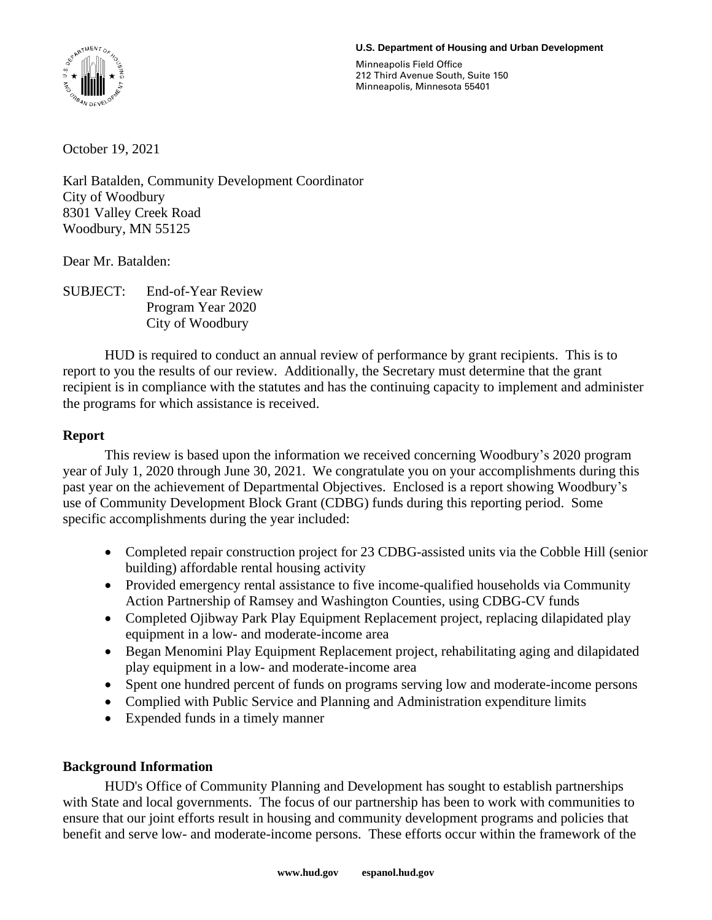#### **U.S. Department of Housing and Urban Development**



Minneapolis Field Office 212 Third Avenue South, Suite 150 Minneapolis, Minnesota 55401

October 19, 2021

Karl Batalden, Community Development Coordinator City of Woodbury 8301 Valley Creek Road Woodbury, MN 55125

Dear Mr. Batalden:

SUBJECT: End-of-Year Review Program Year 2020 City of Woodbury

HUD is required to conduct an annual review of performance by grant recipients. This is to report to you the results of our review. Additionally, the Secretary must determine that the grant recipient is in compliance with the statutes and has the continuing capacity to implement and administer the programs for which assistance is received.

# **Report**

This review is based upon the information we received concerning Woodbury's 2020 program year of July 1, 2020 through June 30, 2021. We congratulate you on your accomplishments during this past year on the achievement of Departmental Objectives. Enclosed is a report showing Woodbury's use of Community Development Block Grant (CDBG) funds during this reporting period. Some specific accomplishments during the year included:

- Completed repair construction project for 23 CDBG-assisted units via the Cobble Hill (senior building) affordable rental housing activity
- Provided emergency rental assistance to five income-qualified households via Community Action Partnership of Ramsey and Washington Counties, using CDBG-CV funds
- Completed Ojibway Park Play Equipment Replacement project, replacing dilapidated play equipment in a low- and moderate-income area
- Began Menomini Play Equipment Replacement project, rehabilitating aging and dilapidated play equipment in a low- and moderate-income area
- Spent one hundred percent of funds on programs serving low and moderate-income persons
- Complied with Public Service and Planning and Administration expenditure limits
- Expended funds in a timely manner

## **Background Information**

HUD's Office of Community Planning and Development has sought to establish partnerships with State and local governments. The focus of our partnership has been to work with communities to ensure that our joint efforts result in housing and community development programs and policies that benefit and serve low- and moderate-income persons. These efforts occur within the framework of the